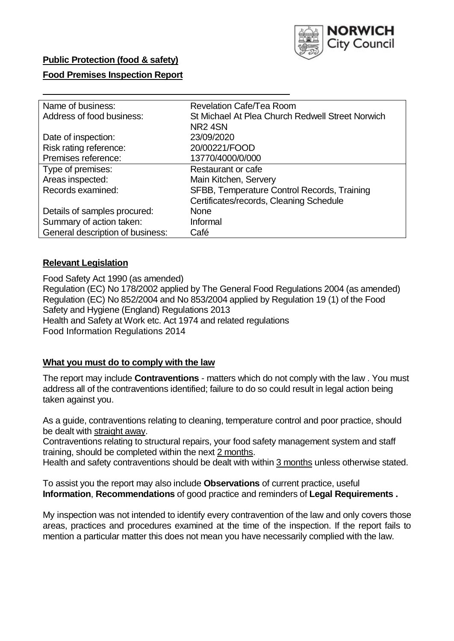

### **Public Protection (food & safety)**

### **Food Premises Inspection Report**

| Name of business:                | Revelation Cafe/Tea Room                         |
|----------------------------------|--------------------------------------------------|
| Address of food business:        | St Michael At Plea Church Redwell Street Norwich |
|                                  | NR <sub>2</sub> 4SN                              |
| Date of inspection:              | 23/09/2020                                       |
| Risk rating reference:           | 20/00221/FOOD                                    |
| Premises reference:              | 13770/4000/0/000                                 |
| Type of premises:                | Restaurant or cafe                               |
| Areas inspected:                 | Main Kitchen, Servery                            |
| Records examined:                | SFBB, Temperature Control Records, Training      |
|                                  | Certificates/records, Cleaning Schedule          |
| Details of samples procured:     | <b>None</b>                                      |
| Summary of action taken:         | Informal                                         |
| General description of business: | Café                                             |
|                                  |                                                  |

# **Relevant Legislation**

 Food Safety Act 1990 (as amended) Regulation (EC) No 178/2002 applied by The General Food Regulations 2004 (as amended) Regulation (EC) No 852/2004 and No 853/2004 applied by Regulation 19 (1) of the Food Safety and Hygiene (England) Regulations 2013 Health and Safety at Work etc. Act 1974 and related regulations Food Information Regulations 2014

### **What you must do to comply with the law**

 The report may include **Contraventions** - matters which do not comply with the law . You must address all of the contraventions identified; failure to do so could result in legal action being taken against you.

 As a guide, contraventions relating to cleaning, temperature control and poor practice, should be dealt with straight away.

 Contraventions relating to structural repairs, your food safety management system and staff training, should be completed within the next 2 months.

Health and safety contraventions should be dealt with within 3 months unless otherwise stated.

 To assist you the report may also include **Observations** of current practice, useful **Information**, **Recommendations** of good practice and reminders of **Legal Requirements .** 

 My inspection was not intended to identify every contravention of the law and only covers those areas, practices and procedures examined at the time of the inspection. If the report fails to mention a particular matter this does not mean you have necessarily complied with the law.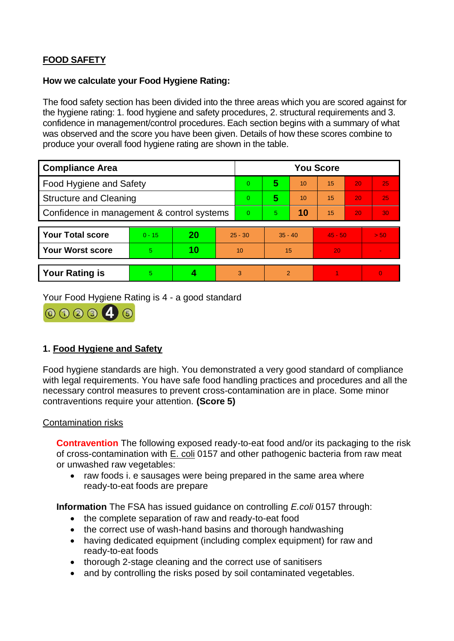# **FOOD SAFETY**

### **How we calculate your Food Hygiene Rating:**

 The food safety section has been divided into the three areas which you are scored against for the hygiene rating: 1. food hygiene and safety procedures, 2. structural requirements and 3. confidence in management/control procedures. Each section begins with a summary of what was observed and the score you have been given. Details of how these scores combine to produce your overall food hygiene rating are shown in the table.

| <b>Compliance Area</b>                     |          |    |                | <b>You Score</b> |                |    |           |    |                |  |  |
|--------------------------------------------|----------|----|----------------|------------------|----------------|----|-----------|----|----------------|--|--|
| Food Hygiene and Safety                    |          |    |                | $\Omega$         | 5              | 10 | 15        | 20 | 25             |  |  |
| <b>Structure and Cleaning</b>              |          |    | $\overline{0}$ | 5                | 10             | 15 | 20        | 25 |                |  |  |
| Confidence in management & control systems |          |    | $\Omega$       | 5                | 10             | 15 | 20        | 30 |                |  |  |
|                                            |          |    |                |                  |                |    |           |    |                |  |  |
| <b>Your Total score</b>                    | $0 - 15$ | 20 | $25 - 30$      |                  | $35 - 40$      |    | $45 - 50$ |    | > 50           |  |  |
| <b>Your Worst score</b>                    | 5        | 10 | 10             |                  | 15             |    | 20        |    | $\blacksquare$ |  |  |
|                                            |          |    |                |                  |                |    |           |    |                |  |  |
| <b>Your Rating is</b>                      | 5        |    |                | 3                | $\overline{2}$ |    |           |    | $\Omega$       |  |  |

Your Food Hygiene Rating is 4 - a good standard



# **1. Food Hygiene and Safety**

 with legal requirements. You have safe food handling practices and procedures and all the Food hygiene standards are high. You demonstrated a very good standard of compliance necessary control measures to prevent cross-contamination are in place. Some minor contraventions require your attention. **(Score 5)** 

### Contamination risks

**Contravention** The following exposed ready-to-eat food and/or its packaging to the risk of cross-contamination with E. coli 0157 and other pathogenic bacteria from raw meat or unwashed raw vegetables:

• raw foods i. e sausages were being prepared in the same area where ready-to-eat foods are prepare

**Information** The FSA has issued guidance on controlling *E.coli* 0157 through:

- the complete separation of raw and ready-to-eat food
- the correct use of wash-hand basins and thorough handwashing
- having dedicated equipment (including complex equipment) for raw and ready-to-eat foods
- thorough 2-stage cleaning and the correct use of sanitisers
- and by controlling the risks posed by soil contaminated vegetables.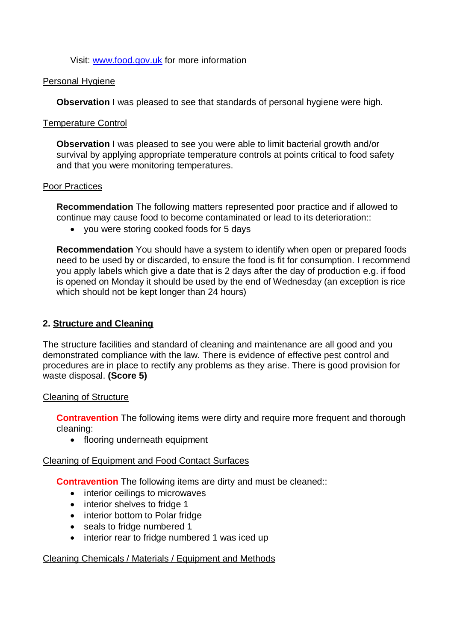Visit: [www.food.gov.uk](http://www.food.gov.uk/) for more information

#### Personal Hygiene

**Observation** I was pleased to see that standards of personal hygiene were high.

### Temperature Control

 **Observation** I was pleased to see you were able to limit bacterial growth and/or survival by applying appropriate temperature controls at points critical to food safety and that you were monitoring temperatures.

### Poor Practices

 **Recommendation** The following matters represented poor practice and if allowed to continue may cause food to become contaminated or lead to its deterioration::

you were storing cooked foods for 5 days

 **Recommendation** You should have a system to identify when open or prepared foods you apply labels which give a date that is 2 days after the day of production e.g. if food is opened on Monday it should be used by the end of Wednesday (an exception is rice need to be used by or discarded, to ensure the food is fit for consumption. I recommend which should not be kept longer than 24 hours)

# **2. Structure and Cleaning**

 demonstrated compliance with the law. There is evidence of effective pest control and procedures are in place to rectify any problems as they arise. There is good provision for The structure facilities and standard of cleaning and maintenance are all good and you waste disposal. **(Score 5)** 

### Cleaning of Structure

**Contravention** The following items were dirty and require more frequent and thorough cleaning:

• flooring underneath equipment

### Cleaning of Equipment and Food Contact Surfaces

**Contravention** The following items are dirty and must be cleaned::

- interior ceilings to microwaves
- interior shelves to fridge 1
- interior bottom to Polar fridge
- seals to fridge numbered 1
- interior rear to fridge numbered 1 was iced up

# Cleaning Chemicals / Materials / Equipment and Methods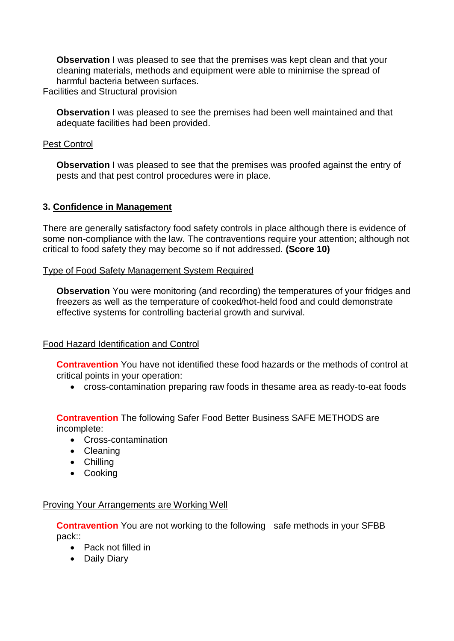**Observation** I was pleased to see that the premises was kept clean and that your cleaning materials, methods and equipment were able to minimise the spread of harmful bacteria between surfaces.

### Facilities and Structural provision

**Observation** I was pleased to see the premises had been well maintained and that adequate facilities had been provided.

### Pest Control

**Observation** I was pleased to see that the premises was proofed against the entry of pests and that pest control procedures were in place.

# **3. Confidence in Management**

 There are generally satisfactory food safety controls in place although there is evidence of some non-compliance with the law. The contraventions require your attention; although not critical to food safety they may become so if not addressed. **(Score 10)** 

# Type of Food Safety Management System Required

 **Observation** You were monitoring (and recording) the temperatures of your fridges and freezers as well as the temperature of cooked/hot-held food and could demonstrate effective systems for controlling bacterial growth and survival.

# Food Hazard Identification and Control

**Contravention** You have not identified these food hazards or the methods of control at critical points in your operation:

cross-contamination preparing raw foods in thesame area as ready-to-eat foods

**Contravention** The following Safer Food Better Business SAFE METHODS are incomplete:

- Cross-contamination
- Cleaning
- Chilling
- Cooking

### Proving Your Arrangements are Working Well

**Contravention** You are not working to the following safe methods in your SFBB pack::

- Pack not filled in
- Daily Diary